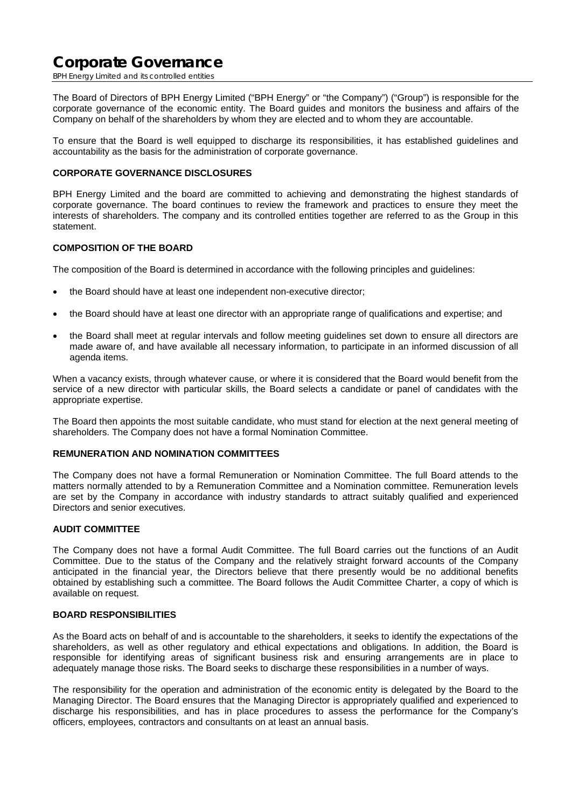BPH Energy Limited and its controlled entities

The Board of Directors of BPH Energy Limited ("BPH Energy" or "the Company") ("Group") is responsible for the corporate governance of the economic entity. The Board guides and monitors the business and affairs of the Company on behalf of the shareholders by whom they are elected and to whom they are accountable.

To ensure that the Board is well equipped to discharge its responsibilities, it has established guidelines and accountability as the basis for the administration of corporate governance.

## **CORPORATE GOVERNANCE DISCLOSURES**

BPH Energy Limited and the board are committed to achieving and demonstrating the highest standards of corporate governance. The board continues to review the framework and practices to ensure they meet the interests of shareholders. The company and its controlled entities together are referred to as the Group in this statement.

### **COMPOSITION OF THE BOARD**

The composition of the Board is determined in accordance with the following principles and guidelines:

- the Board should have at least one independent non-executive director;
- the Board should have at least one director with an appropriate range of qualifications and expertise; and
- the Board shall meet at regular intervals and follow meeting guidelines set down to ensure all directors are made aware of, and have available all necessary information, to participate in an informed discussion of all agenda items.

When a vacancy exists, through whatever cause, or where it is considered that the Board would benefit from the service of a new director with particular skills, the Board selects a candidate or panel of candidates with the appropriate expertise.

The Board then appoints the most suitable candidate, who must stand for election at the next general meeting of shareholders. The Company does not have a formal Nomination Committee.

#### **REMUNERATION AND NOMINATION COMMITTEES**

The Company does not have a formal Remuneration or Nomination Committee. The full Board attends to the matters normally attended to by a Remuneration Committee and a Nomination committee. Remuneration levels are set by the Company in accordance with industry standards to attract suitably qualified and experienced Directors and senior executives.

### **AUDIT COMMITTEE**

The Company does not have a formal Audit Committee. The full Board carries out the functions of an Audit Committee. Due to the status of the Company and the relatively straight forward accounts of the Company anticipated in the financial year, the Directors believe that there presently would be no additional benefits obtained by establishing such a committee. The Board follows the Audit Committee Charter, a copy of which is available on request.

#### **BOARD RESPONSIBILITIES**

As the Board acts on behalf of and is accountable to the shareholders, it seeks to identify the expectations of the shareholders, as well as other regulatory and ethical expectations and obligations. In addition, the Board is responsible for identifying areas of significant business risk and ensuring arrangements are in place to adequately manage those risks. The Board seeks to discharge these responsibilities in a number of ways.

The responsibility for the operation and administration of the economic entity is delegated by the Board to the Managing Director. The Board ensures that the Managing Director is appropriately qualified and experienced to discharge his responsibilities, and has in place procedures to assess the performance for the Company's officers, employees, contractors and consultants on at least an annual basis.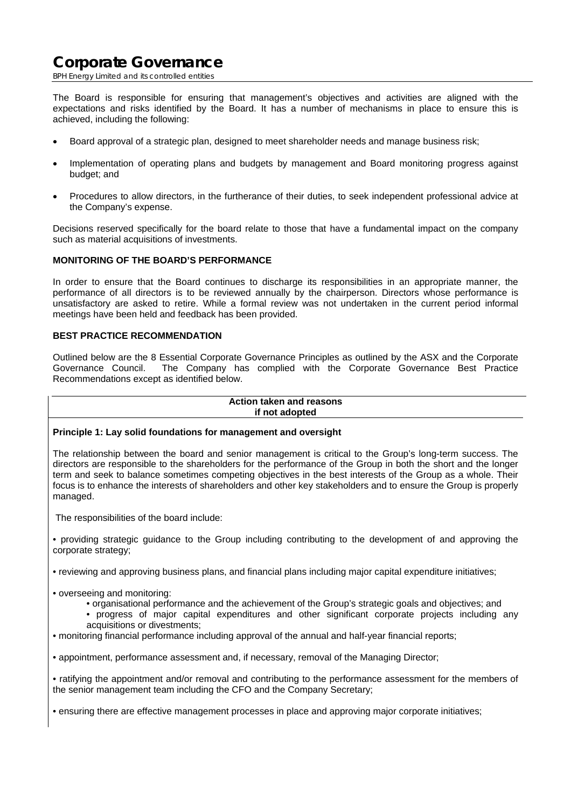BPH Energy Limited and its controlled entities

The Board is responsible for ensuring that management's objectives and activities are aligned with the expectations and risks identified by the Board. It has a number of mechanisms in place to ensure this is achieved, including the following:

- Board approval of a strategic plan, designed to meet shareholder needs and manage business risk;
- Implementation of operating plans and budgets by management and Board monitoring progress against budget; and
- Procedures to allow directors, in the furtherance of their duties, to seek independent professional advice at the Company's expense.

Decisions reserved specifically for the board relate to those that have a fundamental impact on the company such as material acquisitions of investments.

## **MONITORING OF THE BOARD'S PERFORMANCE**

In order to ensure that the Board continues to discharge its responsibilities in an appropriate manner, the performance of all directors is to be reviewed annually by the chairperson. Directors whose performance is unsatisfactory are asked to retire. While a formal review was not undertaken in the current period informal meetings have been held and feedback has been provided.

## **BEST PRACTICE RECOMMENDATION**

Outlined below are the 8 Essential Corporate Governance Principles as outlined by the ASX and the Corporate Governance Council. The Company has complied with the Corporate Governance Best Practice Recommendations except as identified below.

#### **Action taken and reasons if not adopted**

### **Principle 1: Lay solid foundations for management and oversight**

The relationship between the board and senior management is critical to the Group's long-term success. The directors are responsible to the shareholders for the performance of the Group in both the short and the longer term and seek to balance sometimes competing objectives in the best interests of the Group as a whole. Their focus is to enhance the interests of shareholders and other key stakeholders and to ensure the Group is properly managed.

The responsibilities of the board include:

• providing strategic guidance to the Group including contributing to the development of and approving the corporate strategy;

• reviewing and approving business plans, and financial plans including major capital expenditure initiatives;

- overseeing and monitoring:
	- organisational performance and the achievement of the Group's strategic goals and objectives; and
	- progress of major capital expenditures and other significant corporate projects including any acquisitions or divestments;
- monitoring financial performance including approval of the annual and half-year financial reports;

• appointment, performance assessment and, if necessary, removal of the Managing Director;

• ratifying the appointment and/or removal and contributing to the performance assessment for the members of the senior management team including the CFO and the Company Secretary;

• ensuring there are effective management processes in place and approving major corporate initiatives;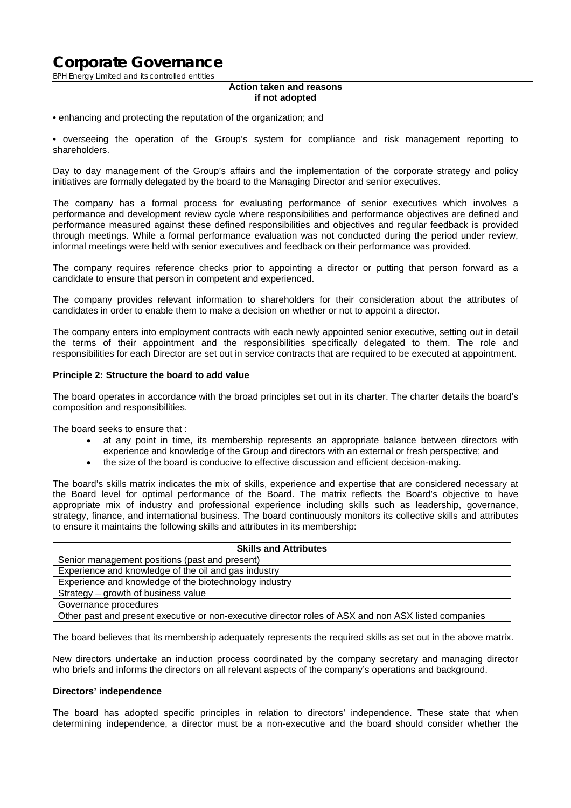BPH Energy Limited and its controlled entities

#### **Action taken and reasons if not adopted**

• enhancing and protecting the reputation of the organization; and

• overseeing the operation of the Group's system for compliance and risk management reporting to shareholders.

Day to day management of the Group's affairs and the implementation of the corporate strategy and policy initiatives are formally delegated by the board to the Managing Director and senior executives.

The company has a formal process for evaluating performance of senior executives which involves a performance and development review cycle where responsibilities and performance objectives are defined and performance measured against these defined responsibilities and objectives and regular feedback is provided through meetings. While a formal performance evaluation was not conducted during the period under review, informal meetings were held with senior executives and feedback on their performance was provided.

The company requires reference checks prior to appointing a director or putting that person forward as a candidate to ensure that person in competent and experienced.

The company provides relevant information to shareholders for their consideration about the attributes of candidates in order to enable them to make a decision on whether or not to appoint a director.

The company enters into employment contracts with each newly appointed senior executive, setting out in detail the terms of their appointment and the responsibilities specifically delegated to them. The role and responsibilities for each Director are set out in service contracts that are required to be executed at appointment.

## **Principle 2: Structure the board to add value**

The board operates in accordance with the broad principles set out in its charter. The charter details the board's composition and responsibilities.

The board seeks to ensure that :

- at any point in time, its membership represents an appropriate balance between directors with experience and knowledge of the Group and directors with an external or fresh perspective; and
- the size of the board is conducive to effective discussion and efficient decision-making.

The board's skills matrix indicates the mix of skills, experience and expertise that are considered necessary at the Board level for optimal performance of the Board. The matrix reflects the Board's objective to have appropriate mix of industry and professional experience including skills such as leadership, governance, strategy, finance, and international business. The board continuously monitors its collective skills and attributes to ensure it maintains the following skills and attributes in its membership:

| <b>Skills and Attributes</b>                                                                         |  |  |  |  |
|------------------------------------------------------------------------------------------------------|--|--|--|--|
| Senior management positions (past and present)                                                       |  |  |  |  |
| Experience and knowledge of the oil and gas industry                                                 |  |  |  |  |
| Experience and knowledge of the biotechnology industry                                               |  |  |  |  |
| Strategy - growth of business value                                                                  |  |  |  |  |
| Governance procedures                                                                                |  |  |  |  |
| Other past and present executive or non-executive director roles of ASX and non ASX listed companies |  |  |  |  |

The board believes that its membership adequately represents the required skills as set out in the above matrix.

New directors undertake an induction process coordinated by the company secretary and managing director who briefs and informs the directors on all relevant aspects of the company's operations and background.

#### **Directors' independence**

The board has adopted specific principles in relation to directors' independence. These state that when determining independence, a director must be a non-executive and the board should consider whether the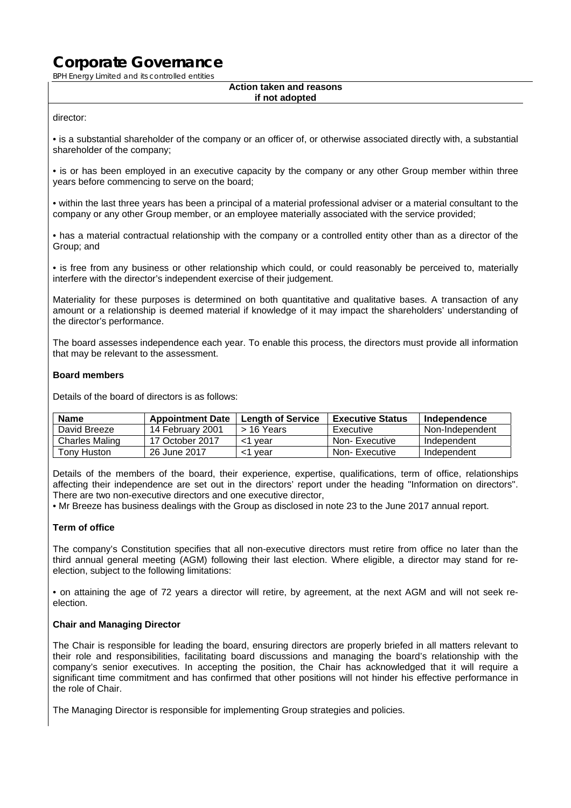BPH Energy Limited and its controlled entities

#### **Action taken and reasons if not adopted**

### director:

• is a substantial shareholder of the company or an officer of, or otherwise associated directly with, a substantial shareholder of the company;

• is or has been employed in an executive capacity by the company or any other Group member within three years before commencing to serve on the board;

• within the last three years has been a principal of a material professional adviser or a material consultant to the company or any other Group member, or an employee materially associated with the service provided;

• has a material contractual relationship with the company or a controlled entity other than as a director of the Group; and

• is free from any business or other relationship which could, or could reasonably be perceived to, materially interfere with the director's independent exercise of their judgement.

Materiality for these purposes is determined on both quantitative and qualitative bases. A transaction of any amount or a relationship is deemed material if knowledge of it may impact the shareholders' understanding of the director's performance.

The board assesses independence each year. To enable this process, the directors must provide all information that may be relevant to the assessment.

## **Board members**

Details of the board of directors is as follows:

| <b>Name</b>    | <b>Appointment Date</b> | <b>Length of Service</b> | <b>Executive Status</b> | Independence    |
|----------------|-------------------------|--------------------------|-------------------------|-----------------|
| David Breeze   | 14 February 2001        | > 16 Years               | Executive               | Non-Independent |
| Charles Maling | 17 October 2017         | <1 vear                  | Non-Executive           | Independent     |
| Tony Huston    | 26 June 2017            | vear                     | Non-Executive           | Independent     |

Details of the members of the board, their experience, expertise, qualifications, term of office, relationships affecting their independence are set out in the directors' report under the heading ''Information on directors''. There are two non-executive directors and one executive director,

• Mr Breeze has business dealings with the Group as disclosed in note 23 to the June 2017 annual report.

### **Term of office**

The company's Constitution specifies that all non-executive directors must retire from office no later than the third annual general meeting (AGM) following their last election. Where eligible, a director may stand for reelection, subject to the following limitations:

• on attaining the age of 72 years a director will retire, by agreement, at the next AGM and will not seek reelection.

### **Chair and Managing Director**

The Chair is responsible for leading the board, ensuring directors are properly briefed in all matters relevant to their role and responsibilities, facilitating board discussions and managing the board's relationship with the company's senior executives. In accepting the position, the Chair has acknowledged that it will require a significant time commitment and has confirmed that other positions will not hinder his effective performance in the role of Chair.

The Managing Director is responsible for implementing Group strategies and policies.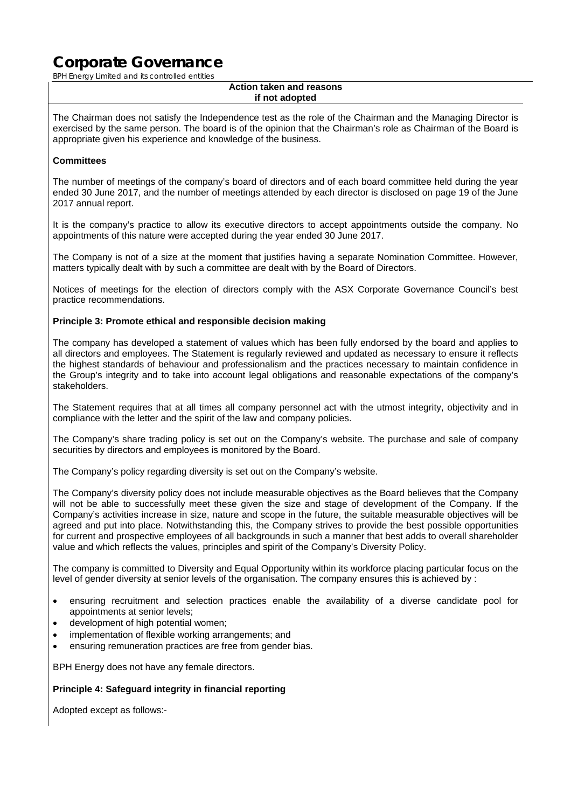BPH Energy Limited and its controlled entities

#### **Action taken and reasons if not adopted**

The Chairman does not satisfy the Independence test as the role of the Chairman and the Managing Director is exercised by the same person. The board is of the opinion that the Chairman's role as Chairman of the Board is appropriate given his experience and knowledge of the business.

## **Committees**

The number of meetings of the company's board of directors and of each board committee held during the year ended 30 June 2017, and the number of meetings attended by each director is disclosed on page 19 of the June 2017 annual report.

It is the company's practice to allow its executive directors to accept appointments outside the company. No appointments of this nature were accepted during the year ended 30 June 2017.

The Company is not of a size at the moment that justifies having a separate Nomination Committee. However, matters typically dealt with by such a committee are dealt with by the Board of Directors.

Notices of meetings for the election of directors comply with the ASX Corporate Governance Council's best practice recommendations.

### **Principle 3: Promote ethical and responsible decision making**

The company has developed a statement of values which has been fully endorsed by the board and applies to all directors and employees. The Statement is regularly reviewed and updated as necessary to ensure it reflects the highest standards of behaviour and professionalism and the practices necessary to maintain confidence in the Group's integrity and to take into account legal obligations and reasonable expectations of the company's stakeholders.

The Statement requires that at all times all company personnel act with the utmost integrity, objectivity and in compliance with the letter and the spirit of the law and company policies.

The Company's share trading policy is set out on the Company's website. The purchase and sale of company securities by directors and employees is monitored by the Board.

The Company's policy regarding diversity is set out on the Company's website.

The Company's diversity policy does not include measurable objectives as the Board believes that the Company will not be able to successfully meet these given the size and stage of development of the Company. If the Company's activities increase in size, nature and scope in the future, the suitable measurable objectives will be agreed and put into place. Notwithstanding this, the Company strives to provide the best possible opportunities for current and prospective employees of all backgrounds in such a manner that best adds to overall shareholder value and which reflects the values, principles and spirit of the Company's Diversity Policy.

The company is committed to Diversity and Equal Opportunity within its workforce placing particular focus on the level of gender diversity at senior levels of the organisation. The company ensures this is achieved by :

- ensuring recruitment and selection practices enable the availability of a diverse candidate pool for appointments at senior levels;
- development of high potential women;
- implementation of flexible working arrangements; and
- ensuring remuneration practices are free from gender bias.

BPH Energy does not have any female directors.

### **Principle 4: Safeguard integrity in financial reporting**

Adopted except as follows:-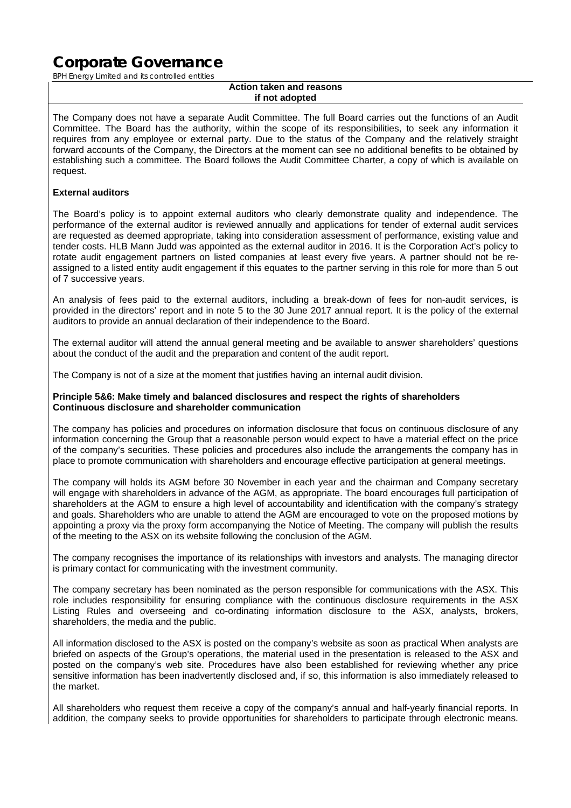BPH Energy Limited and its controlled entities

#### **Action taken and reasons if not adopted**

The Company does not have a separate Audit Committee. The full Board carries out the functions of an Audit Committee. The Board has the authority, within the scope of its responsibilities, to seek any information it requires from any employee or external party. Due to the status of the Company and the relatively straight forward accounts of the Company, the Directors at the moment can see no additional benefits to be obtained by establishing such a committee. The Board follows the Audit Committee Charter, a copy of which is available on request.

## **External auditors**

The Board's policy is to appoint external auditors who clearly demonstrate quality and independence. The performance of the external auditor is reviewed annually and applications for tender of external audit services are requested as deemed appropriate, taking into consideration assessment of performance, existing value and tender costs. HLB Mann Judd was appointed as the external auditor in 2016. It is the Corporation Act's policy to rotate audit engagement partners on listed companies at least every five years. A partner should not be reassigned to a listed entity audit engagement if this equates to the partner serving in this role for more than 5 out of 7 successive years.

An analysis of fees paid to the external auditors, including a break-down of fees for non-audit services, is provided in the directors' report and in note 5 to the 30 June 2017 annual report. It is the policy of the external auditors to provide an annual declaration of their independence to the Board.

The external auditor will attend the annual general meeting and be available to answer shareholders' questions about the conduct of the audit and the preparation and content of the audit report.

The Company is not of a size at the moment that justifies having an internal audit division.

### **Principle 5&6: Make timely and balanced disclosures and respect the rights of shareholders Continuous disclosure and shareholder communication**

The company has policies and procedures on information disclosure that focus on continuous disclosure of any information concerning the Group that a reasonable person would expect to have a material effect on the price of the company's securities. These policies and procedures also include the arrangements the company has in place to promote communication with shareholders and encourage effective participation at general meetings.

The company will holds its AGM before 30 November in each year and the chairman and Company secretary will engage with shareholders in advance of the AGM, as appropriate. The board encourages full participation of shareholders at the AGM to ensure a high level of accountability and identification with the company's strategy and goals. Shareholders who are unable to attend the AGM are encouraged to vote on the proposed motions by appointing a proxy via the proxy form accompanying the Notice of Meeting. The company will publish the results of the meeting to the ASX on its website following the conclusion of the AGM.

The company recognises the importance of its relationships with investors and analysts. The managing director is primary contact for communicating with the investment community.

The company secretary has been nominated as the person responsible for communications with the ASX. This role includes responsibility for ensuring compliance with the continuous disclosure requirements in the ASX Listing Rules and overseeing and co-ordinating information disclosure to the ASX, analysts, brokers, shareholders, the media and the public.

All information disclosed to the ASX is posted on the company's website as soon as practical When analysts are briefed on aspects of the Group's operations, the material used in the presentation is released to the ASX and posted on the company's web site. Procedures have also been established for reviewing whether any price sensitive information has been inadvertently disclosed and, if so, this information is also immediately released to the market.

All shareholders who request them receive a copy of the company's annual and half-yearly financial reports. In addition, the company seeks to provide opportunities for shareholders to participate through electronic means.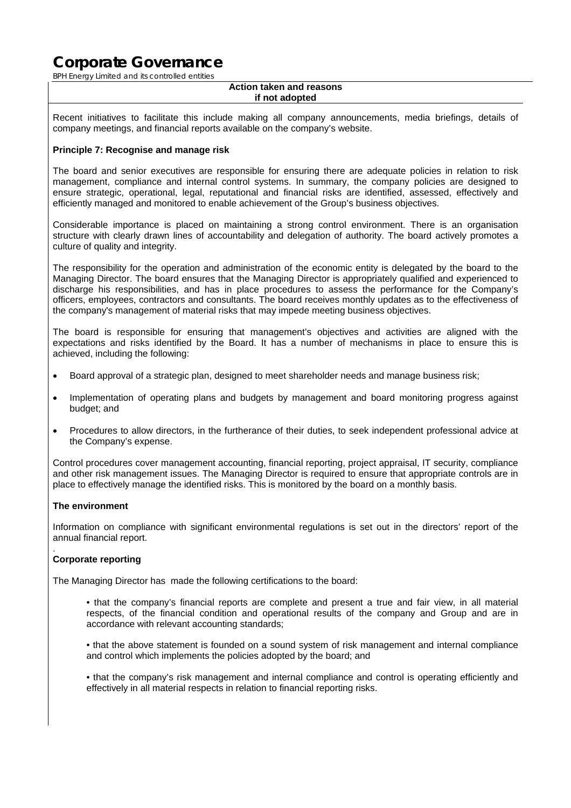BPH Energy Limited and its controlled entities

#### **Action taken and reasons if not adopted**

Recent initiatives to facilitate this include making all company announcements, media briefings, details of company meetings, and financial reports available on the company's website.

### **Principle 7: Recognise and manage risk**

The board and senior executives are responsible for ensuring there are adequate policies in relation to risk management, compliance and internal control systems. In summary, the company policies are designed to ensure strategic, operational, legal, reputational and financial risks are identified, assessed, effectively and efficiently managed and monitored to enable achievement of the Group's business objectives.

Considerable importance is placed on maintaining a strong control environment. There is an organisation structure with clearly drawn lines of accountability and delegation of authority. The board actively promotes a culture of quality and integrity.

The responsibility for the operation and administration of the economic entity is delegated by the board to the Managing Director. The board ensures that the Managing Director is appropriately qualified and experienced to discharge his responsibilities, and has in place procedures to assess the performance for the Company's officers, employees, contractors and consultants. The board receives monthly updates as to the effectiveness of the company's management of material risks that may impede meeting business objectives.

The board is responsible for ensuring that management's objectives and activities are aligned with the expectations and risks identified by the Board. It has a number of mechanisms in place to ensure this is achieved, including the following:

- Board approval of a strategic plan, designed to meet shareholder needs and manage business risk;
- Implementation of operating plans and budgets by management and board monitoring progress against budget; and
- Procedures to allow directors, in the furtherance of their duties, to seek independent professional advice at the Company's expense.

Control procedures cover management accounting, financial reporting, project appraisal, IT security, compliance and other risk management issues. The Managing Director is required to ensure that appropriate controls are in place to effectively manage the identified risks. This is monitored by the board on a monthly basis.

### **The environment**

Information on compliance with significant environmental regulations is set out in the directors' report of the annual financial report.

#### . **Corporate reporting**

The Managing Director has made the following certifications to the board:

• that the company's financial reports are complete and present a true and fair view, in all material respects, of the financial condition and operational results of the company and Group and are in accordance with relevant accounting standards;

• that the above statement is founded on a sound system of risk management and internal compliance and control which implements the policies adopted by the board; and

• that the company's risk management and internal compliance and control is operating efficiently and effectively in all material respects in relation to financial reporting risks.